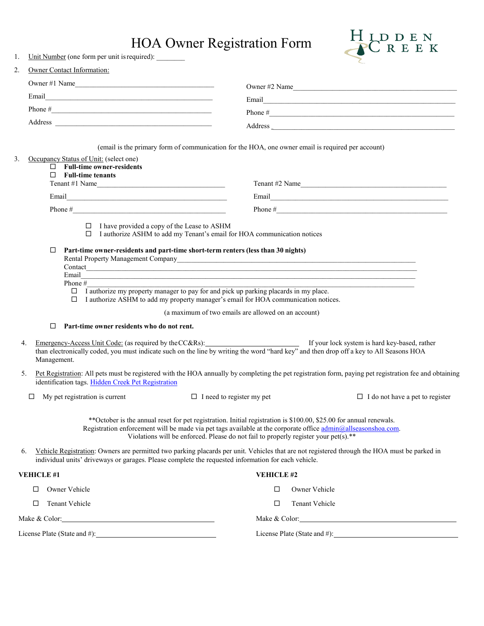## HOA Owner Registration Form



|  |  |  | Unit Number (one form per unit is required): |  |
|--|--|--|----------------------------------------------|--|
|--|--|--|----------------------------------------------|--|

| 2.<br>Owner Contact Information:                                                                                                                                                                                                                                                                                                                                                                                                                                                       |                                                                                                                                                                                                                                                                                                                             |  |
|----------------------------------------------------------------------------------------------------------------------------------------------------------------------------------------------------------------------------------------------------------------------------------------------------------------------------------------------------------------------------------------------------------------------------------------------------------------------------------------|-----------------------------------------------------------------------------------------------------------------------------------------------------------------------------------------------------------------------------------------------------------------------------------------------------------------------------|--|
| Owner #1 Name                                                                                                                                                                                                                                                                                                                                                                                                                                                                          | Owner #2 Name                                                                                                                                                                                                                                                                                                               |  |
|                                                                                                                                                                                                                                                                                                                                                                                                                                                                                        | Email <b>Executive Communication</b>                                                                                                                                                                                                                                                                                        |  |
|                                                                                                                                                                                                                                                                                                                                                                                                                                                                                        |                                                                                                                                                                                                                                                                                                                             |  |
|                                                                                                                                                                                                                                                                                                                                                                                                                                                                                        | Address                                                                                                                                                                                                                                                                                                                     |  |
| Occupancy Status of Unit: (select one)<br>3.<br>$\Box$ Full-time owner-residents<br>$\Box$ Full-time tenants<br>Tenant #1 Name                                                                                                                                                                                                                                                                                                                                                         | (email is the primary form of communication for the HOA, one owner email is required per account)<br>Tenant #2 Name                                                                                                                                                                                                         |  |
|                                                                                                                                                                                                                                                                                                                                                                                                                                                                                        | Email and the contract of the contract of the contract of the contract of the contract of the contract of the contract of the contract of the contract of the contract of the contract of the contract of the contract of the                                                                                               |  |
|                                                                                                                                                                                                                                                                                                                                                                                                                                                                                        |                                                                                                                                                                                                                                                                                                                             |  |
| $\Box$ I have provided a copy of the Lease to ASHM<br>□ I authorize ASHM to add my Tenant's email for HOA communication notices<br>Part-time owner-residents and part-time short-term renters (less than 30 nights)<br>□<br>Email<br>Phone #<br>$\Box$ I authorize my property manager to pay for and pick up parking placards in my place.<br>□ I authorize ASHM to add my property manager's email for HOA communication notices.<br>□<br>Part-time owner residents who do not rent. | Rental Property Management Company and the company of the contract of the contract of the contract of the contract of the contract of the contract of the contract of the contract of the contract of the contract of the cont<br>(a maximum of two emails are allowed on an account)                                       |  |
| 4.<br>Management.                                                                                                                                                                                                                                                                                                                                                                                                                                                                      | Emergency-Access Unit Code: (as required by the CC&Rs):<br>If your lock system is hard key-based, rather<br>than electronically coded, you must indicate such on the line by writing the word "hard key" and then drop off a key t                                                                                          |  |
| 5.<br>identification tags. Hidden Creek Pet Registration                                                                                                                                                                                                                                                                                                                                                                                                                               | Pet Registration: All pets must be registered with the HOA annually by completing the pet registration form, paying pet registration fee and obtaining                                                                                                                                                                      |  |
| My pet registration is current<br>□                                                                                                                                                                                                                                                                                                                                                                                                                                                    | $\Box$ I need to register my pet<br>$\Box$ I do not have a pet to register                                                                                                                                                                                                                                                  |  |
|                                                                                                                                                                                                                                                                                                                                                                                                                                                                                        | ** October is the annual reset for pet registration. Initial registration is \$100.00, \$25.00 for annual renewals.<br>Registration enforcement will be made via pet tags available at the corporate office admin@allseasonshoa.com.<br>Violations will be enforced. Please do not fail to properly register your pet(s).** |  |
| 6.<br>individual units' driveways or garages. Please complete the requested information for each vehicle.                                                                                                                                                                                                                                                                                                                                                                              | Vehicle Registration: Owners are permitted two parking placards per unit. Vehicles that are not registered through the HOA must be parked in                                                                                                                                                                                |  |
| <b>VEHICLE #1</b>                                                                                                                                                                                                                                                                                                                                                                                                                                                                      | <b>VEHICLE #2</b>                                                                                                                                                                                                                                                                                                           |  |
| Owner Vehicle<br>□                                                                                                                                                                                                                                                                                                                                                                                                                                                                     | □<br>Owner Vehicle                                                                                                                                                                                                                                                                                                          |  |
| Tenant Vehicle<br>□                                                                                                                                                                                                                                                                                                                                                                                                                                                                    | Tenant Vehicle<br>$\Box$                                                                                                                                                                                                                                                                                                    |  |
| Make & Color: 2008 Make & Color:                                                                                                                                                                                                                                                                                                                                                                                                                                                       | Make & Color: National Color Color Color Color Color Color Color Color Color Color Color Color Color Color Color Color Color Color Color Color Color Color Color Color Color Color Color Color Color Color Color Color Color C                                                                                              |  |
|                                                                                                                                                                                                                                                                                                                                                                                                                                                                                        |                                                                                                                                                                                                                                                                                                                             |  |